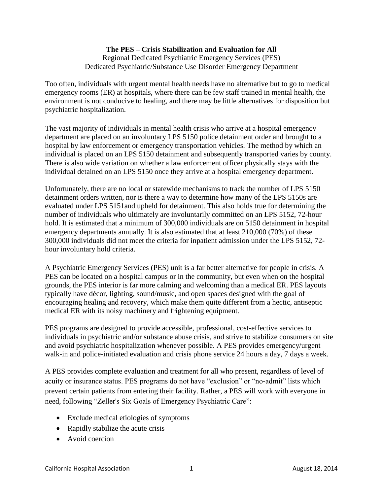## **The PES – Crisis Stabilization and Evaluation for All**  Regional Dedicated Psychiatric Emergency Services (PES) Dedicated Psychiatric/Substance Use Disorder Emergency Department

Too often, individuals with urgent mental health needs have no alternative but to go to medical emergency rooms (ER) at hospitals, where there can be few staff trained in mental health, the environment is not conducive to healing, and there may be little alternatives for disposition but psychiatric hospitalization.

The vast majority of individuals in mental health crisis who arrive at a hospital emergency department are placed on an involuntary LPS 5150 police detainment order and brought to a hospital by law enforcement or emergency transportation vehicles. The method by which an individual is placed on an LPS 5150 detainment and subsequently transported varies by county. There is also wide variation on whether a law enforcement officer physically stays with the individual detained on an LPS 5150 once they arrive at a hospital emergency department.

Unfortunately, there are no local or statewide mechanisms to track the number of LPS 5150 detainment orders written, nor is there a way to determine how many of the LPS 5150s are evaluated under LPS 5151and upheld for detainment. This also holds true for determining the number of individuals who ultimately are involuntarily committed on an LPS 5152, 72-hour hold. It is estimated that a minimum of 300,000 individuals are on 5150 detainment in hospital emergency departments annually. It is also estimated that at least 210,000 (70%) of these 300,000 individuals did not meet the criteria for inpatient admission under the LPS 5152, 72 hour involuntary hold criteria.

A Psychiatric Emergency Services (PES) unit is a far better alternative for people in crisis. A PES can be located on a hospital campus or in the community, but even when on the hospital grounds, the PES interior is far more calming and welcoming than a medical ER. PES layouts typically have décor, lighting, sound/music, and open spaces designed with the goal of encouraging healing and recovery, which make them quite different from a hectic, antiseptic medical ER with its noisy machinery and frightening equipment.

PES programs are designed to provide accessible, professional, cost-effective services to individuals in psychiatric and/or substance abuse crisis, and strive to stabilize consumers on site and avoid psychiatric hospitalization whenever possible. A PES provides emergency/urgent walk-in and police-initiated evaluation and crisis phone service 24 hours a day, 7 days a week.

A PES provides complete evaluation and treatment for all who present, regardless of level of acuity or insurance status. PES programs do not have "exclusion" or "no-admit" lists which prevent certain patients from entering their facility. Rather, a PES will work with everyone in need, following "Zeller's Six Goals of Emergency Psychiatric Care":

- Exclude medical etiologies of symptoms
- Rapidly stabilize the acute crisis
- Avoid coercion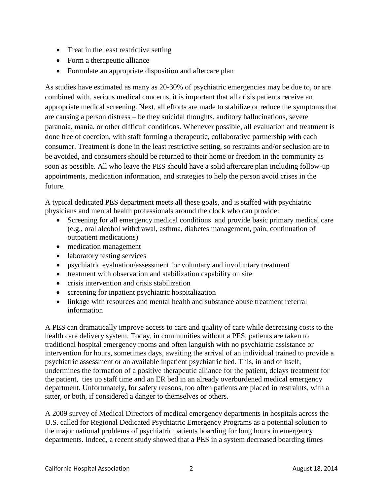- Treat in the least restrictive setting
- Form a therapeutic alliance
- Formulate an appropriate disposition and aftercare plan

As studies have estimated as many as 20-30% of psychiatric emergencies may be due to, or are combined with, serious medical concerns, it is important that all crisis patients receive an appropriate medical screening. Next, all efforts are made to stabilize or reduce the symptoms that are causing a person distress – be they suicidal thoughts, auditory hallucinations, severe paranoia, mania, or other difficult conditions. Whenever possible, all evaluation and treatment is done free of coercion, with staff forming a therapeutic, collaborative partnership with each consumer. Treatment is done in the least restrictive setting, so restraints and/or seclusion are to be avoided, and consumers should be returned to their home or freedom in the community as soon as possible. All who leave the PES should have a solid aftercare plan including follow-up appointments, medication information, and strategies to help the person avoid crises in the future.

A typical dedicated PES department meets all these goals, and is staffed with psychiatric physicians and mental health professionals around the clock who can provide:

- Screening for all emergency medical conditions and provide basic primary medical care (e.g., oral alcohol withdrawal, asthma, diabetes management, pain, continuation of outpatient medications)
- medication management
- laboratory testing services
- psychiatric evaluation/assessment for voluntary and involuntary treatment
- treatment with observation and stabilization capability on site
- crisis intervention and crisis stabilization
- screening for inpatient psychiatric hospitalization
- linkage with resources and mental health and substance abuse treatment referral information

A PES can dramatically improve access to care and quality of care while decreasing costs to the health care delivery system. Today, in communities without a PES, patients are taken to traditional hospital emergency rooms and often languish with no psychiatric assistance or intervention for hours, sometimes days, awaiting the arrival of an individual trained to provide a psychiatric assessment or an available inpatient psychiatric bed. This, in and of itself, undermines the formation of a positive therapeutic alliance for the patient, delays treatment for the patient, ties up staff time and an ER bed in an already overburdened medical emergency department. Unfortunately, for safety reasons, too often patients are placed in restraints, with a sitter, or both, if considered a danger to themselves or others.

A 2009 survey of Medical Directors of medical emergency departments in hospitals across the U.S. called for Regional Dedicated Psychiatric Emergency Programs as a potential solution to the major national problems of psychiatric patients boarding for long hours in emergency departments. Indeed, a recent study showed that a PES in a system decreased boarding times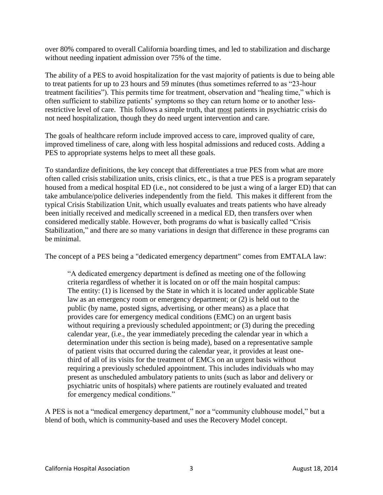over 80% compared to overall California boarding times, and led to stabilization and discharge without needing inpatient admission over 75% of the time.

The ability of a PES to avoid hospitalization for the vast majority of patients is due to being able to treat patients for up to 23 hours and 59 minutes (thus sometimes referred to as "23-hour treatment facilities"). This permits time for treatment, observation and "healing time," which is often sufficient to stabilize patients' symptoms so they can return home or to another lessrestrictive level of care. This follows a simple truth, that most patients in psychiatric crisis do not need hospitalization, though they do need urgent intervention and care.

The goals of healthcare reform include improved access to care, improved quality of care, improved timeliness of care, along with less hospital admissions and reduced costs. Adding a PES to appropriate systems helps to meet all these goals.

To standardize definitions, the key concept that differentiates a true PES from what are more often called crisis stabilization units, crisis clinics, etc., is that a true PES is a program separately housed from a medical hospital ED (i.e., not considered to be just a wing of a larger ED) that can take ambulance/police deliveries independently from the field. This makes it different from the typical Crisis Stabilization Unit, which usually evaluates and treats patients who have already been initially received and medically screened in a medical ED, then transfers over when considered medically stable. However, both programs do what is basically called "Crisis Stabilization," and there are so many variations in design that difference in these programs can be minimal.

The concept of a PES being a "dedicated emergency department" comes from EMTALA law:

"A dedicated emergency department is defined as meeting one of the following criteria regardless of whether it is located on or off the main hospital campus: The entity: (1) is licensed by the State in which it is located under applicable State law as an emergency room or emergency department; or (2) is held out to the public (by name, posted signs, advertising, or other means) as a place that provides care for emergency medical conditions (EMC) on an urgent basis without requiring a previously scheduled appointment; or (3) during the preceding calendar year, (i.e., the year immediately preceding the calendar year in which a determination under this section is being made), based on a representative sample of patient visits that occurred during the calendar year, it provides at least onethird of all of its visits for the treatment of EMCs on an urgent basis without requiring a previously scheduled appointment. This includes individuals who may present as unscheduled ambulatory patients to units (such as labor and delivery or psychiatric units of hospitals) where patients are routinely evaluated and treated for emergency medical conditions."

A PES is not a "medical emergency department," nor a "community clubhouse model," but a blend of both, which is community-based and uses the Recovery Model concept.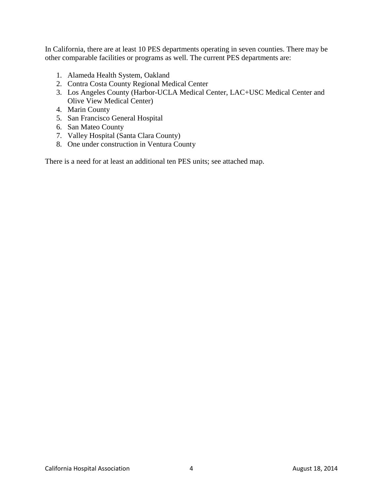In California, there are at least 10 PES departments operating in seven counties. There may be other comparable facilities or programs as well. The current PES departments are:

- 1. Alameda Health System, Oakland
- 2. Contra Costa County Regional Medical Center
- 3. Los Angeles County (Harbor-UCLA Medical Center, LAC+USC Medical Center and Olive View Medical Center)
- 4. Marin County
- 5. San Francisco General Hospital
- 6. San Mateo County
- 7. Valley Hospital (Santa Clara County)
- 8. One under construction in Ventura County

There is a need for at least an additional ten PES units; see attached map.